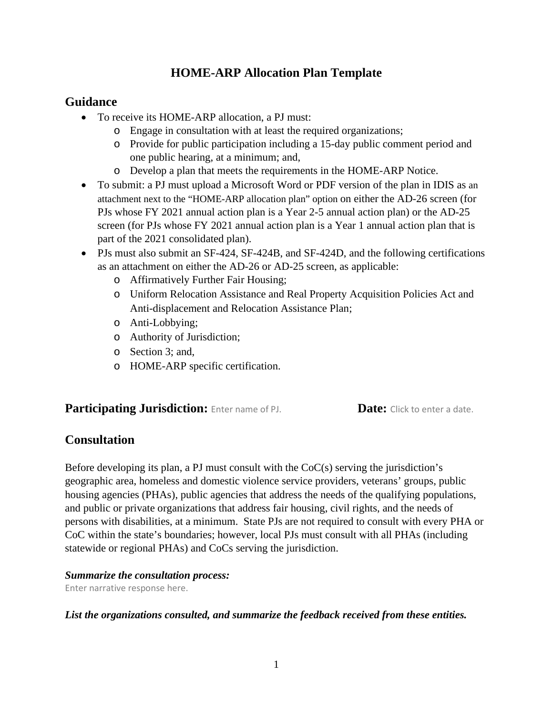# **HOME-ARP Allocation Plan Template**

## **Guidance**

- To receive its HOME-ARP allocation, a PJ must:
	- o Engage in consultation with at least the required organizations;
	- o Provide for public participation including a 15-day public comment period and one public hearing, at a minimum; and,
	- o Develop a plan that meets the requirements in the HOME-ARP Notice.
- To submit: a PJ must upload a Microsoft Word or PDF version of the plan in IDIS as an attachment next to the "HOME-ARP allocation plan" option on either the AD-26 screen (for PJs whose FY 2021 annual action plan is a Year 2-5 annual action plan) or the AD-25 screen (for PJs whose FY 2021 annual action plan is a Year 1 annual action plan that is part of the 2021 consolidated plan).
- PJs must also submit an SF-424, SF-424B, and SF-424D, and the following certifications as an attachment on either the AD-26 or AD-25 screen, as applicable:
	- o Affirmatively Further Fair Housing;
	- o Uniform Relocation Assistance and Real Property Acquisition Policies Act and Anti-displacement and Relocation Assistance Plan;
	- o Anti-Lobbying;
	- o Authority of Jurisdiction;
	- o Section 3; and,
	- o HOME-ARP specific certification.

## **Participating Jurisdiction:** Enter name of PJ. **Date:** Click to enter a date.

## **Consultation**

Before developing its plan, a PJ must consult with the  $CoC(s)$  serving the jurisdiction's geographic area, homeless and domestic violence service providers, veterans' groups, public housing agencies (PHAs), public agencies that address the needs of the qualifying populations, and public or private organizations that address fair housing, civil rights, and the needs of persons with disabilities, at a minimum. State PJs are not required to consult with every PHA or CoC within the state's boundaries; however, local PJs must consult with all PHAs (including statewide or regional PHAs) and CoCs serving the jurisdiction.

#### *Summarize the consultation process:*

Enter narrative response here.

*List the organizations consulted, and summarize the feedback received from these entities.*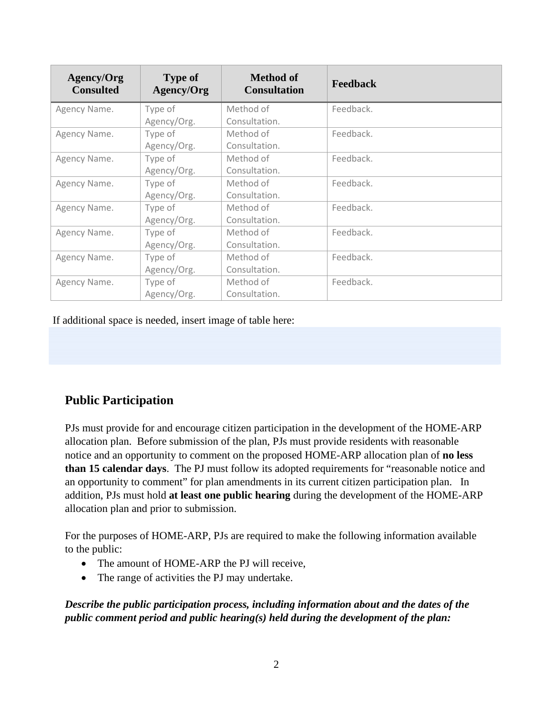| Agency/Org<br><b>Consulted</b> | <b>Type of</b><br>Agency/Org | <b>Method of</b><br><b>Consultation</b> | <b>Feedback</b> |
|--------------------------------|------------------------------|-----------------------------------------|-----------------|
| Agency Name.                   | Type of                      | Method of                               | Feedback.       |
|                                | Agency/Org.                  | Consultation.                           |                 |
| Agency Name.                   | Type of                      | Method of                               | Feedback.       |
|                                | Agency/Org.                  | Consultation.                           |                 |
| Agency Name.                   | Type of                      | Method of                               | Feedback.       |
|                                | Agency/Org.                  | Consultation.                           |                 |
| Agency Name.                   | Type of                      | Method of                               | Feedback.       |
|                                | Agency/Org.                  | Consultation.                           |                 |
| Agency Name.                   | Type of                      | Method of                               | Feedback.       |
|                                | Agency/Org.                  | Consultation.                           |                 |
| Agency Name.                   | Type of                      | Method of                               | Feedback.       |
|                                | Agency/Org.                  | Consultation.                           |                 |
| Agency Name.                   | Type of                      | Method of                               | Feedback.       |
|                                | Agency/Org.                  | Consultation.                           |                 |
| Agency Name.                   | Type of                      | Method of                               | Feedback.       |
|                                | Agency/Org.                  | Consultation.                           |                 |

If additional space is needed, insert image of table here:

# **Public Participation**

PJs must provide for and encourage citizen participation in the development of the HOME-ARP allocation plan. Before submission of the plan, PJs must provide residents with reasonable notice and an opportunity to comment on the proposed HOME-ARP allocation plan of **no less than 15 calendar days**. The PJ must follow its adopted requirements for "reasonable notice and an opportunity to comment" for plan amendments in its current citizen participation plan. In addition, PJs must hold **at least one public hearing** during the development of the HOME-ARP allocation plan and prior to submission.

For the purposes of HOME-ARP, PJs are required to make the following information available to the public:

- The amount of HOME-ARP the PJ will receive,
- The range of activities the PJ may undertake.

## *Describe the public participation process, including information about and the dates of the public comment period and public hearing(s) held during the development of the plan:*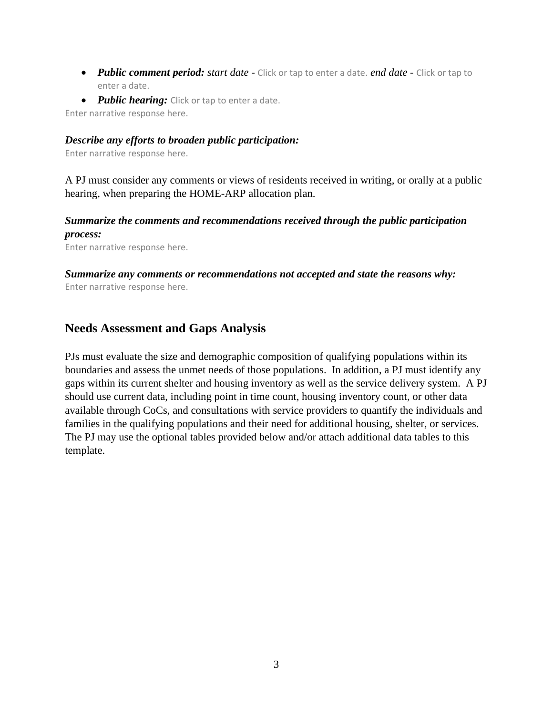- *Public comment period: start date -* Click or tap to enter a date. *end date -* Click or tap to enter a date.
- *Public hearing:* Click or tap to enter a date.

Enter narrative response here.

#### *Describe any efforts to broaden public participation:*

Enter narrative response here.

A PJ must consider any comments or views of residents received in writing, or orally at a public hearing, when preparing the HOME-ARP allocation plan.

#### *Summarize the comments and recommendations received through the public participation process:*

Enter narrative response here.

*Summarize any comments or recommendations not accepted and state the reasons why:* Enter narrative response here.

## **Needs Assessment and Gaps Analysis**

PJs must evaluate the size and demographic composition of qualifying populations within its boundaries and assess the unmet needs of those populations. In addition, a PJ must identify any gaps within its current shelter and housing inventory as well as the service delivery system. A PJ should use current data, including point in time count, housing inventory count, or other data available through CoCs, and consultations with service providers to quantify the individuals and families in the qualifying populations and their need for additional housing, shelter, or services. The PJ may use the optional tables provided below and/or attach additional data tables to this template.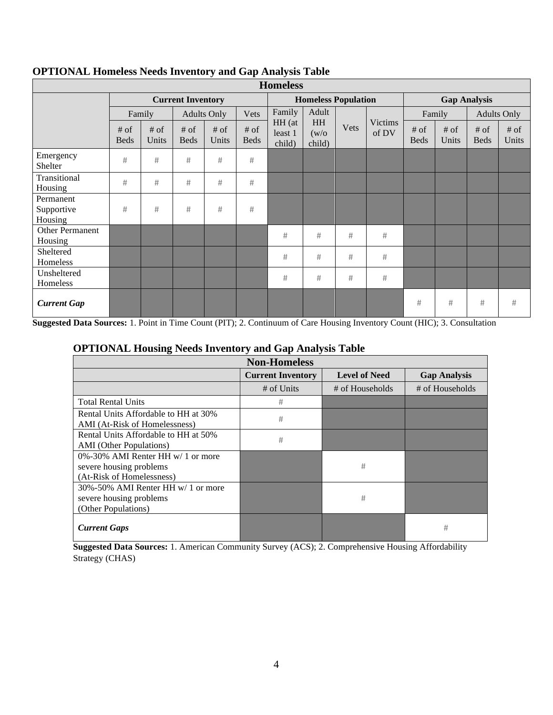| <b>Homeless</b>                    |                          |                 |                       |                    |                            |                             |                       |                     |                         |                       |                 |                       |               |
|------------------------------------|--------------------------|-----------------|-----------------------|--------------------|----------------------------|-----------------------------|-----------------------|---------------------|-------------------------|-----------------------|-----------------|-----------------------|---------------|
|                                    | <b>Current Inventory</b> |                 |                       |                    | <b>Homeless Population</b> |                             |                       | <b>Gap Analysis</b> |                         |                       |                 |                       |               |
|                                    |                          | Family          |                       | <b>Adults Only</b> | Vets                       | Family                      | Adult                 |                     | <b>Victims</b><br>of DV | Family                |                 | <b>Adults Only</b>    |               |
|                                    | $#$ of<br><b>Beds</b>    | $#$ of<br>Units | $#$ of<br><b>Beds</b> | # of<br>Units      | $#$ of<br><b>Beds</b>      | HH (at<br>least 1<br>child) | HH<br>(w/o)<br>child) | Vets                |                         | $#$ of<br><b>Beds</b> | $#$ of<br>Units | $#$ of<br><b>Beds</b> | # of<br>Units |
| Emergency<br>Shelter               | #                        | #               | $\#$                  | #                  | #                          |                             |                       |                     |                         |                       |                 |                       |               |
| Transitional<br>Housing            | #                        | #               | #                     | #                  | #                          |                             |                       |                     |                         |                       |                 |                       |               |
| Permanent<br>Supportive<br>Housing | $\#$                     | #               | #                     | #                  | #                          |                             |                       |                     |                         |                       |                 |                       |               |
| Other Permanent<br>Housing         |                          |                 |                       |                    |                            | #                           | #                     | #                   | #                       |                       |                 |                       |               |
| Sheltered<br>Homeless              |                          |                 |                       |                    |                            | #                           | #                     | #                   | #                       |                       |                 |                       |               |
| Unsheltered<br>Homeless            |                          |                 |                       |                    |                            | #                           | #                     | #                   | #                       |                       |                 |                       |               |
| <b>Current Gap</b>                 |                          |                 |                       |                    |                            |                             |                       |                     |                         | #                     | #               | #                     | #             |

#### **OPTIONAL Homeless Needs Inventory and Gap Analysis Table**

**Suggested Data Sources:** 1. Point in Time Count (PIT); 2. Continuum of Care Housing Inventory Count (HIC); 3. Consultation

#### **OPTIONAL Housing Needs Inventory and Gap Analysis Table**

| <b>Non-Homeless</b>                                                                       |                          |                      |                     |  |  |  |  |
|-------------------------------------------------------------------------------------------|--------------------------|----------------------|---------------------|--|--|--|--|
|                                                                                           | <b>Current Inventory</b> | <b>Level of Need</b> | <b>Gap Analysis</b> |  |  |  |  |
|                                                                                           | # of Units               | # of Households      | # of Households     |  |  |  |  |
| <b>Total Rental Units</b>                                                                 | #                        |                      |                     |  |  |  |  |
| Rental Units Affordable to HH at 30%<br>AMI (At-Risk of Homelessness)                     | #                        |                      |                     |  |  |  |  |
| Rental Units Affordable to HH at 50%<br><b>AMI</b> (Other Populations)                    | #                        |                      |                     |  |  |  |  |
| 0%-30% AMI Renter HH w/ 1 or more<br>severe housing problems<br>(At-Risk of Homelessness) |                          | #                    |                     |  |  |  |  |
| 30%-50% AMI Renter HH w/ 1 or more<br>severe housing problems<br>(Other Populations)      |                          | #                    |                     |  |  |  |  |
| <b>Current Gaps</b>                                                                       |                          |                      | #                   |  |  |  |  |

**Suggested Data Sources:** 1. American Community Survey (ACS); 2. Comprehensive Housing Affordability Strategy (CHAS)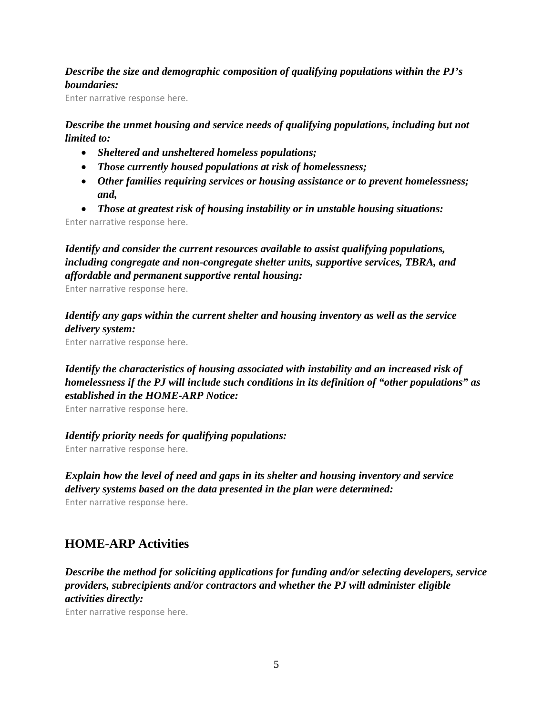## *Describe the size and demographic composition of qualifying populations within the PJ's boundaries:*

Enter narrative response here.

#### *Describe the unmet housing and service needs of qualifying populations, including but not limited to:*

- *Sheltered and unsheltered homeless populations;*
- *Those currently housed populations at risk of homelessness;*
- *Other families requiring services or housing assistance or to prevent homelessness; and,*
- *Those at greatest risk of housing instability or in unstable housing situations:*

Enter narrative response here.

*Identify and consider the current resources available to assist qualifying populations, including congregate and non-congregate shelter units, supportive services, TBRA, and affordable and permanent supportive rental housing:*

Enter narrative response here.

*Identify any gaps within the current shelter and housing inventory as well as the service delivery system:*

Enter narrative response here.

## *Identify the characteristics of housing associated with instability and an increased risk of homelessness if the PJ will include such conditions in its definition of "other populations" as established in the HOME-ARP Notice:*

Enter narrative response here.

#### *Identify priority needs for qualifying populations:*

Enter narrative response here.

*Explain how the level of need and gaps in its shelter and housing inventory and service delivery systems based on the data presented in the plan were determined:* Enter narrative response here.

## **HOME-ARP Activities**

*Describe the method for soliciting applications for funding and/or selecting developers, service providers, subrecipients and/or contractors and whether the PJ will administer eligible activities directly:*

Enter narrative response here.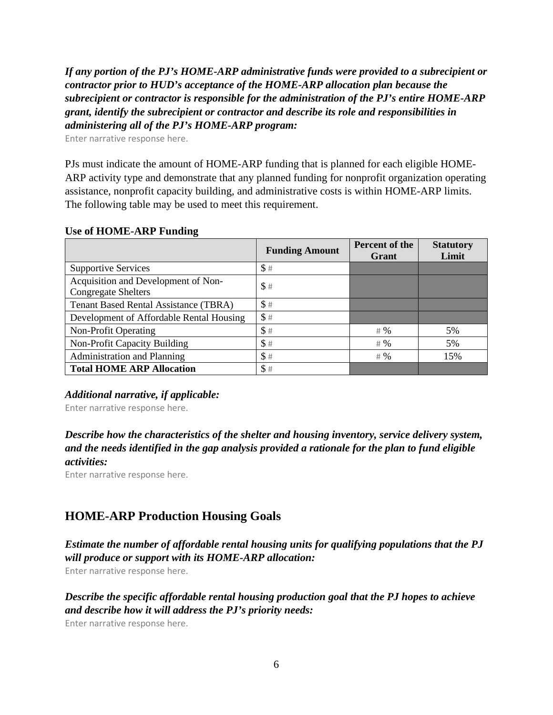*If any portion of the PJ's HOME-ARP administrative funds were provided to a subrecipient or contractor prior to HUD's acceptance of the HOME-ARP allocation plan because the subrecipient or contractor is responsible for the administration of the PJ's entire HOME-ARP grant, identify the subrecipient or contractor and describe its role and responsibilities in administering all of the PJ's HOME-ARP program:*

Enter narrative response here.

PJs must indicate the amount of HOME-ARP funding that is planned for each eligible HOME-ARP activity type and demonstrate that any planned funding for nonprofit organization operating assistance, nonprofit capacity building, and administrative costs is within HOME-ARP limits. The following table may be used to meet this requirement.

|                                                                   | <b>Funding Amount</b> | Percent of the<br>Grant | <b>Statutory</b><br>Limit |
|-------------------------------------------------------------------|-----------------------|-------------------------|---------------------------|
| <b>Supportive Services</b>                                        | \$#                   |                         |                           |
| Acquisition and Development of Non-<br><b>Congregate Shelters</b> | $$$ #                 |                         |                           |
| <b>Tenant Based Rental Assistance (TBRA)</b>                      | \$#                   |                         |                           |
| Development of Affordable Rental Housing                          | \$#                   |                         |                           |
| Non-Profit Operating                                              | \$#                   | # $%$                   | 5%                        |
| Non-Profit Capacity Building                                      | \$#                   | # $%$                   | 5%                        |
| <b>Administration and Planning</b>                                | \$#                   | # $%$                   | 15%                       |
| <b>Total HOME ARP Allocation</b>                                  | \$#                   |                         |                           |

#### **Use of HOME-ARP Funding**

#### *Additional narrative, if applicable:*

Enter narrative response here.

#### *Describe how the characteristics of the shelter and housing inventory, service delivery system, and the needs identified in the gap analysis provided a rationale for the plan to fund eligible activities:*

Enter narrative response here.

## **HOME-ARP Production Housing Goals**

*Estimate the number of affordable rental housing units for qualifying populations that the PJ will produce or support with its HOME-ARP allocation:* 

Enter narrative response here.

*Describe the specific affordable rental housing production goal that the PJ hopes to achieve and describe how it will address the PJ's priority needs:*

Enter narrative response here.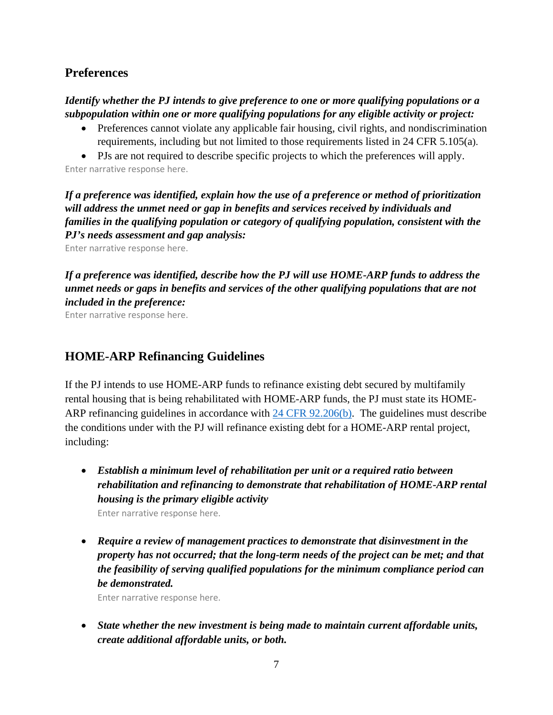## **Preferences**

*Identify whether the PJ intends to give preference to one or more qualifying populations or a subpopulation within one or more qualifying populations for any eligible activity or project:*

• Preferences cannot violate any applicable fair housing, civil rights, and nondiscrimination requirements, including but not limited to those requirements listed in 24 CFR 5.105(a).

• PJs are not required to describe specific projects to which the preferences will apply. Enter narrative response here.

*If a preference was identified, explain how the use of a preference or method of prioritization will address the unmet need or gap in benefits and services received by individuals and families in the qualifying population or category of qualifying population, consistent with the PJ's needs assessment and gap analysis:*

Enter narrative response here.

*If a preference was identified, describe how the PJ will use HOME-ARP funds to address the unmet needs or gaps in benefits and services of the other qualifying populations that are not included in the preference:*

Enter narrative response here.

# **HOME-ARP Refinancing Guidelines**

If the PJ intends to use HOME-ARP funds to refinance existing debt secured by multifamily rental housing that is being rehabilitated with HOME-ARP funds, the PJ must state its HOME-ARP refinancing guidelines in accordance with [24 CFR 92.206\(b\).](https://www.ecfr.gov/cgi-bin/text-idx?SID=273620a3dcadf1c5e247ef949a4fd87c&mc=true&node=se24.1.92_1206&rgn=div8) The guidelines must describe the conditions under with the PJ will refinance existing debt for a HOME-ARP rental project, including:

• *Establish a minimum level of rehabilitation per unit or a required ratio between rehabilitation and refinancing to demonstrate that rehabilitation of HOME-ARP rental housing is the primary eligible activity* 

Enter narrative response here.

• *Require a review of management practices to demonstrate that disinvestment in the property has not occurred; that the long-term needs of the project can be met; and that the feasibility of serving qualified populations for the minimum compliance period can be demonstrated.*

Enter narrative response here.

• *State whether the new investment is being made to maintain current affordable units, create additional affordable units, or both.*